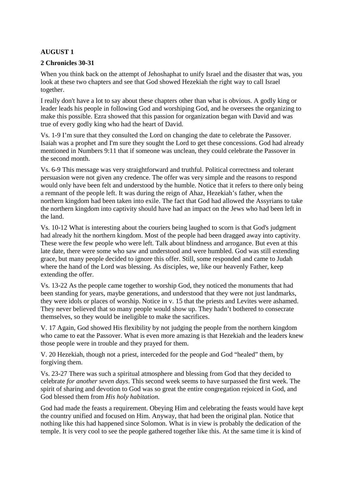# **AUGUST 1**

## **2 Chronicles 30-31**

When you think back on the attempt of Jehoshaphat to unify Israel and the disaster that was, you look at these two chapters and see that God showed Hezekiah the right way to call Israel together.

I really don't have a lot to say about these chapters other than what is obvious. A godly king or leader leads his people in following God and worshiping God, and he oversees the organizing to make this possible. Ezra showed that this passion for organization began with David and was true of every godly king who had the heart of David.

Vs. 1-9 I'm sure that they consulted the Lord on changing the date to celebrate the Passover. Isaiah was a prophet and I'm sure they sought the Lord to get these concessions. God had already mentioned in Numbers 9:11 that if someone was unclean, they could celebrate the Passover in the second month.

Vs. 6-9 This message was very straightforward and truthful. Political correctness and tolerant persuasion were not given any credence. The offer was very simple and the reasons to respond would only have been felt and understood by the humble. Notice that it refers to there only being a remnant of the people left. It was during the reign of Ahaz, Hezekiah's father, when the northern kingdom had been taken into exile. The fact that God had allowed the Assyrians to take the northern kingdom into captivity should have had an impact on the Jews who had been left in the land.

Vs. 10-12 What is interesting about the couriers being laughed to scorn is that God's judgment had already hit the northern kingdom. Most of the people had been dragged away into captivity. These were the few people who were left. Talk about blindness and arrogance. But even at this late date, there were some who saw and understood and were humbled. God was still extending grace, but many people decided to ignore this offer. Still, some responded and came to Judah where the hand of the Lord was blessing. As disciples, we, like our heavenly Father, keep extending the offer.

Vs. 13-22 As the people came together to worship God, they noticed the monuments that had been standing for years, maybe generations, and understood that they were not just landmarks, they were idols or places of worship. Notice in v. 15 that the priests and Levites were ashamed. They never believed that so many people would show up. They hadn't bothered to consecrate themselves, so they would be ineligible to make the sacrifices.

V. 17 Again, God showed His flexibility by not judging the people from the northern kingdom who came to eat the Passover. What is even more amazing is that Hezekiah and the leaders knew those people were in trouble and they prayed for them.

V. 20 Hezekiah, though not a priest, interceded for the people and God "healed" them, by forgiving them.

Vs. 23-27 There was such a spiritual atmosphere and blessing from God that they decided to celebrate *for another seven days*. This second week seems to have surpassed the first week. The spirit of sharing and devotion to God was so great the entire congregation rejoiced in God, and God blessed them from *His holy habitation.*

God had made the feasts a requirement. Obeying Him and celebrating the feasts would have kept the country unified and focused on Him. Anyway, that had been the original plan. Notice that nothing like this had happened since Solomon. What is in view is probably the dedication of the temple. It is very cool to see the people gathered together like this. At the same time it is kind of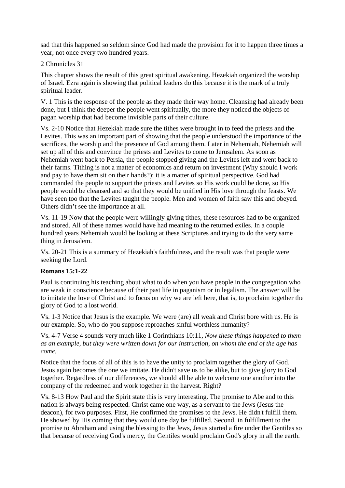sad that this happened so seldom since God had made the provision for it to happen three times a year, not once every two hundred years.

2 Chronicles 31

This chapter shows the result of this great spiritual awakening. Hezekiah organized the worship of Israel. Ezra again is showing that political leaders do this because it is the mark of a truly spiritual leader.

V. 1 This is the response of the people as they made their way home. Cleansing had already been done, but I think the deeper the people went spiritually, the more they noticed the objects of pagan worship that had become invisible parts of their culture.

Vs. 2-10 Notice that Hezekiah made sure the tithes were brought in to feed the priests and the Levites. This was an important part of showing that the people understood the importance of the sacrifices, the worship and the presence of God among them. Later in Nehemiah, Nehemiah will set up all of this and convince the priests and Levites to come to Jerusalem. As soon as Nehemiah went back to Persia, the people stopped giving and the Levites left and went back to their farms. Tithing is not a matter of economics and return on investment (Why should I work and pay to have them sit on their hands?); it is a matter of spiritual perspective. God had commanded the people to support the priests and Levites so His work could be done, so His people would be cleansed and so that they would be unified in His love through the feasts. We have seen too that the Levites taught the people. Men and women of faith saw this and obeyed. Others didn't see the importance at all.

Vs. 11-19 Now that the people were willingly giving tithes, these resources had to be organized and stored. All of these names would have had meaning to the returned exiles. In a couple hundred years Nehemiah would be looking at these Scriptures and trying to do the very same thing in Jerusalem.

Vs. 20-21 This is a summary of Hezekiah's faithfulness, and the result was that people were seeking the Lord.

#### **Romans 15:1-22**

Paul is continuing his teaching about what to do when you have people in the congregation who are weak in conscience because of their past life in paganism or in legalism. The answer will be to imitate the love of Christ and to focus on why we are left here, that is, to proclaim together the glory of God to a lost world.

Vs. 1-3 Notice that Jesus is the example. We were (are) all weak and Christ bore with us. He is our example. So, who do you suppose reproaches sinful worthless humanity?

Vs. 4-7 Verse 4 sounds very much like 1 Corinthians 10:11, *Now these things happened to them as an example, but they were written down for our instruction, on whom the end of the age has come.* 

Notice that the focus of all of this is to have the unity to proclaim together the glory of God. Jesus again becomes the one we imitate. He didn't save us to be alike, but to give glory to God together. Regardless of our differences, we should all be able to welcome one another into the company of the redeemed and work together in the harvest. Right?

Vs. 8-13 How Paul and the Spirit state this is very interesting. The promise to Abe and to this nation is always being respected. Christ came one way, as a servant to the Jews (Jesus the deacon), for two purposes. First, He confirmed the promises to the Jews. He didn't fulfill them. He showed by His coming that they would one day be fulfilled. Second, in fulfillment to the promise to Abraham and using the blessing to the Jews, Jesus started a fire under the Gentiles so that because of receiving God's mercy, the Gentiles would proclaim God's glory in all the earth.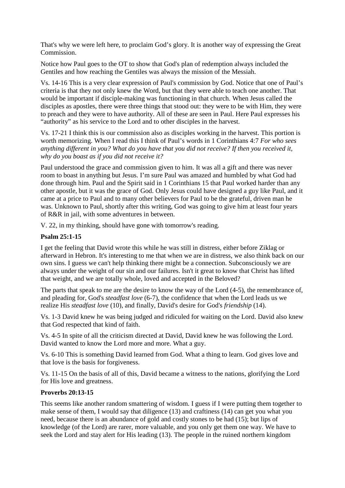That's why we were left here, to proclaim God's glory. It is another way of expressing the Great Commission.

Notice how Paul goes to the OT to show that God's plan of redemption always included the Gentiles and how reaching the Gentiles was always the mission of the Messiah.

Vs. 14-16 This is a very clear expression of Paul's commission by God. Notice that one of Paul's criteria is that they not only knew the Word, but that they were able to teach one another. That would be important if disciple-making was functioning in that church. When Jesus called the disciples as apostles, there were three things that stood out: they were to be with Him, they were to preach and they were to have authority. All of these are seen in Paul. Here Paul expresses his "authority" as his service to the Lord and to other disciples in the harvest.

Vs. 17-21 I think this is our commission also as disciples working in the harvest. This portion is worth memorizing. When I read this I think of Paul's words in 1 Corinthians 4:7 *For who sees anything different in you? What do you have that you did not receive? If then you received it, why do you boast as if you did not receive it?* 

Paul understood the grace and commission given to him. It was all a gift and there was never room to boast in anything but Jesus. I'm sure Paul was amazed and humbled by what God had done through him. Paul and the Spirit said in 1 Corinthians 15 that Paul worked harder than any other apostle, but it was the grace of God. Only Jesus could have designed a guy like Paul, and it came at a price to Paul and to many other believers for Paul to be the grateful, driven man he was. Unknown to Paul, shortly after this writing, God was going to give him at least four years of R&R in jail, with some adventures in between.

V. 22, in my thinking, should have gone with tomorrow's reading.

## **Psalm 25:1-15**

I get the feeling that David wrote this while he was still in distress, either before Ziklag or afterward in Hebron. It's interesting to me that when we are in distress, we also think back on our own sins. I guess we can't help thinking there might be a connection. Subconsciously we are always under the weight of our sin and our failures. Isn't it great to know that Christ has lifted that weight, and we are totally whole, loved and accepted in the Beloved?

The parts that speak to me are the desire to know the way of the Lord (4-5), the remembrance of, and pleading for, God's *steadfast love* (6-7), the confidence that when the Lord leads us we realize His *steadfast love* (10), and finally, David's desire for God's *friendship* (14).

Vs. 1-3 David knew he was being judged and ridiculed for waiting on the Lord. David also knew that God respected that kind of faith.

Vs. 4-5 In spite of all the criticism directed at David, David knew he was following the Lord. David wanted to know the Lord more and more. What a guy.

Vs. 6-10 This is something David learned from God. What a thing to learn. God gives love and that love is the basis for forgiveness.

Vs. 11-15 On the basis of all of this, David became a witness to the nations, glorifying the Lord for His love and greatness.

#### **Proverbs 20:13-15**

This seems like another random smattering of wisdom. I guess if I were putting them together to make sense of them, I would say that diligence (13) and craftiness (14) can get you what you need, because there is an abundance of gold and costly stones to be had (15); but lips of knowledge (of the Lord) are rarer, more valuable, and you only get them one way. We have to seek the Lord and stay alert for His leading (13). The people in the ruined northern kingdom